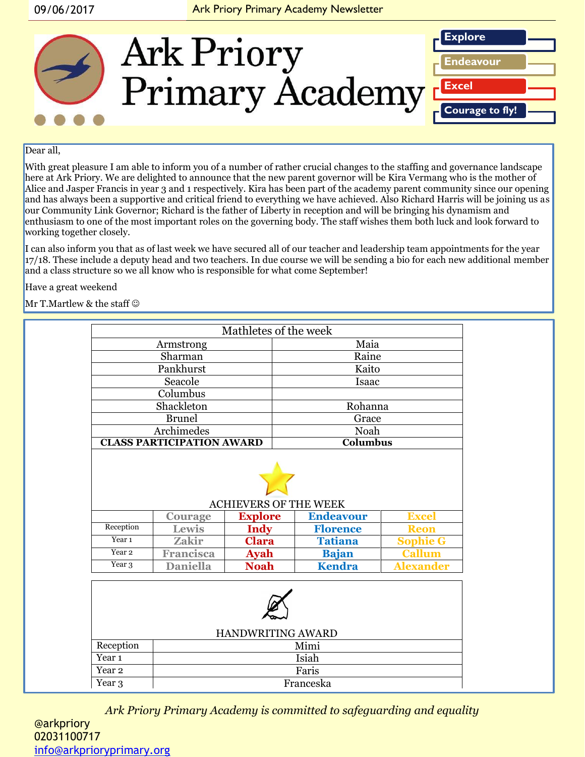

#### Dear all.

With great pleasure I am able to inform you of a number of rather crucial changes to the staffing and governance landscape here at Ark Priory. We are delighted to announce that the new parent governor will be Kira Vermang who is the mother of Alice and Jasper Francis in year 3 and 1 respectively. Kira has been part of the academy parent community since our opening and has always been a supportive and critical friend to everything we have achieved. Also Richard Harris will be joining us as our Community Link Governor; Richard is the father of Liberty in reception and will be bringing his dynamism and enthusiasm to one of the most important roles on the governing body. The staff wishes them both luck and look forward to working together closely.

I can also inform you that as of last week we have secured all of our teacher and leadership team appointments for the year 17/18. These include a deputy head and two teachers. In due course we will be sending a bio for each new additional member and a class structure so we all know who is responsible for what come September!

Have a great weekend

Mr T.Martlew & the staff  $\odot$ 

| Mathletes of the week            |                         |                        |                                                  |                 |  |
|----------------------------------|-------------------------|------------------------|--------------------------------------------------|-----------------|--|
| Armstrong                        |                         |                        | Maia                                             |                 |  |
| Sharman                          |                         |                        | Raine                                            |                 |  |
| Pankhurst                        |                         |                        | Kaito                                            |                 |  |
| Seacole                          |                         |                        | Isaac                                            |                 |  |
| Columbus                         |                         |                        |                                                  |                 |  |
| Shackleton                       |                         |                        | Rohanna                                          |                 |  |
| <b>Brunel</b>                    |                         |                        | Grace                                            |                 |  |
| Archimedes                       |                         |                        | Noah                                             |                 |  |
| <b>CLASS PARTICIPATION AWARD</b> |                         |                        | Columbus                                         |                 |  |
|                                  |                         |                        |                                                  |                 |  |
|                                  |                         |                        |                                                  |                 |  |
|                                  |                         |                        | <b>ACHIEVERS OF THE WEEK</b><br><b>Endeavour</b> | <b>Excel</b>    |  |
| Reception                        | <b>Courage</b><br>Lewis | <b>Explore</b><br>Indy | <b>Florence</b>                                  | <b>Reon</b>     |  |
| Year <sub>1</sub>                | <b>Zakir</b>            | <b>Clara</b>           | <b>Tatiana</b>                                   | <b>Sophie G</b> |  |
| $\overline{Y}$ ear 2             | <b>Francisca</b>        | <b>Ayah</b>            | <b>Bajan</b>                                     | <b>Callum</b>   |  |

| HANDWRITING AWARD |           |  |  |  |  |
|-------------------|-----------|--|--|--|--|
| Reception         | Mimi      |  |  |  |  |
| Year 1<br>Isiah   |           |  |  |  |  |
| Year 2            | Faris     |  |  |  |  |
| Year 3            | Franceska |  |  |  |  |

*Ark Priory Primary Academy is committed to safeguarding and equality*  @arkpriory 02031100717 [info@arkprioryprimary.org](mailto:info@arkprioryprimary.org)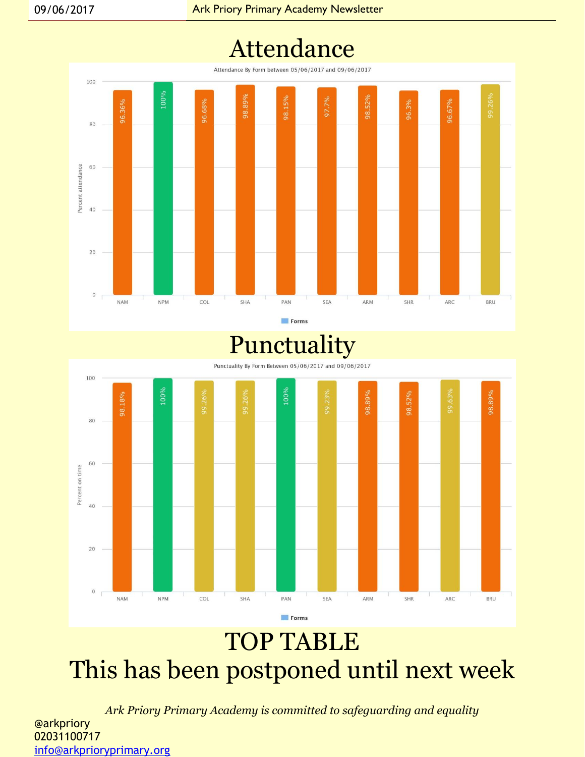## Attendance

Attendance By Form between 05/06/2017 and 09/06/2017



Forms

## Punctuality



## TOP TABLE This has been postponed until next week

*Ark Priory Primary Academy is committed to safeguarding and equality*  @arkpriory 02031100717 [info@arkprioryprimary.org](mailto:info@arkprioryprimary.org)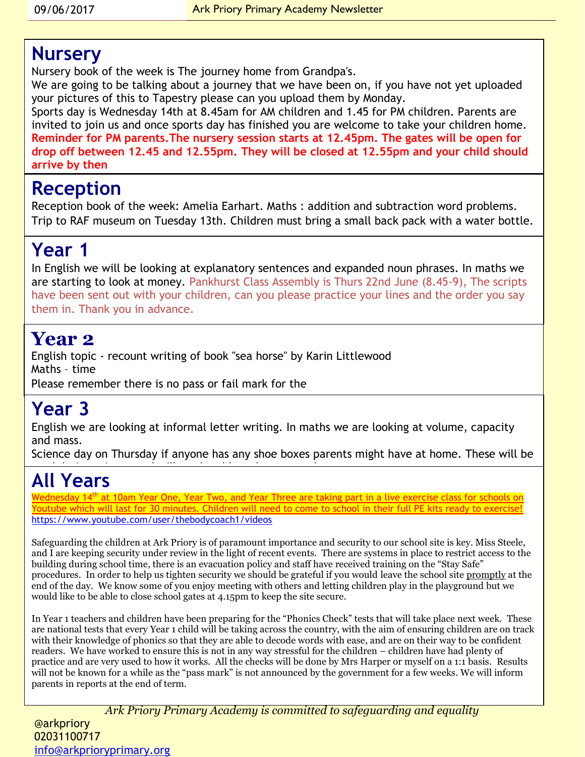#### **Nursery**

Nursery book of the week is The journey home from Grandpa's.

We are going to be talking about a journey that we have been on, if you have not yet uploaded your pictures of this to Tapestry please can you upload them by Monday.

Sports day is Wednesday 14th at 8.45am for AM children and 1.45 for PM children. Parents are invited to join us and once sports day has finished you are welcome to take your children home. **Reminder for PM parents.The nursery session starts at 12.45pm. The gates will be open for drop off between 12.45 and 12.55pm. They will be closed at 12.55pm and your child should arrive by then**

#### **Reception**

Reception book of the week: Amelia Earhart. Maths : addition and subtraction word problems. Trip to RAF museum on Tuesday 13th. Children must bring a small back pack with a water bottle.

### **Year 1**

In English we will be looking at explanatory sentences and expanded noun phrases. In maths we are starting to look at money. Pankhurst Class Assembly is Thurs 22nd June (8.45-9), The scripts have been sent out with your children, can you please practice your lines and the order you say them in. Thank you in advance.

### **Year 2**

English topic - recount writing of book "sea horse" by Karin Littlewood Maths – time Please remember there is no pass or fail mark for the

### **Year 3**

English we are looking at informal letter writing. In maths we are looking at volume, capacity and mass.

Science day on Thursday if anyone has any shoe boxes parents might have at home. These will be used during science and will not be able to be able to be able to be able to be able to be able to be returned<br>The able to be returned to be able to be able to be able to be able to be able to be able to be able to be abl

## **All Years**

<u>Wednesday 14<sup>th</sup> at 10am Year One, Year Two, and Year Three are taking part in a live exercise class for schools on</u> Youtube which will last for 30 minutes. Children will need to come to school in their full PE kits ready to exercise! <https://www.youtube.com/user/thebodycoach1/videos>

Safeguarding the children at Ark Priory is of paramount importance and security to our school site is key. Miss Steele, and I are keeping security under review in the light of recent events. There are systems in place to restrict access to the building during school time, there is an evacuation policy and staff have received training on the "Stay Safe" procedures. In order to help us tighten security we should be grateful if you would leave the school site promptly at the end of the day. We know some of you enjoy meeting with others and letting children play in the playground but we would like to be able to close school gates at 4.15pm to keep the site secure.

In Year 1 teachers and children have been preparing for the "Phonics Check" tests that will take place next week. These are national tests that every Year 1 child will be taking across the country, with the aim of ensuring children are on track with their knowledge of phonics so that they are able to decode words with ease, and are on their way to be confident readers. We have worked to ensure this is not in any way stressful for the children – children have had plenty of practice and are very used to how it works. All the checks will be done by Mrs Harper or myself on a 1:1 basis. Results will not be known for a while as the "pass mark" is not announced by the government for a few weeks. We will inform parents in reports at the end of term.

*Ark Priory Primary Academy is committed to safeguarding and equality* 

@arkpriory 02031100717 [info@arkprioryprimary.org](mailto:info@arkprioryprimary.org)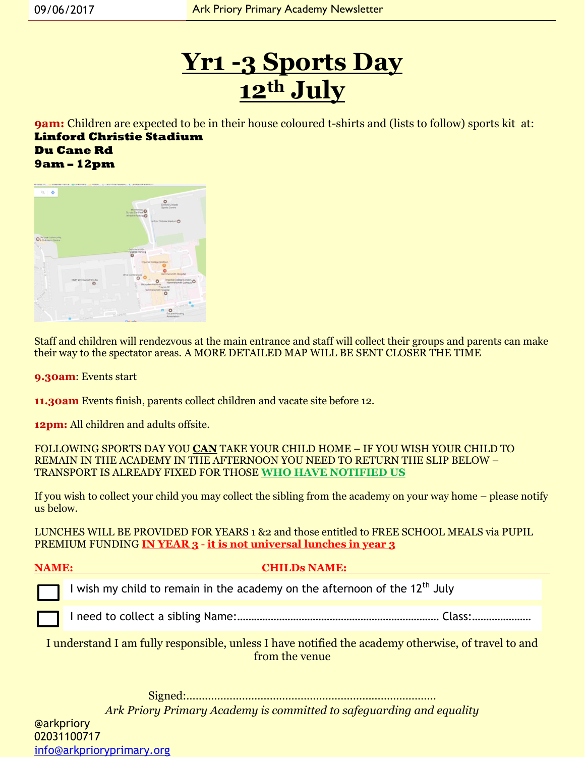## **Yr1 -3 Sports Day 12th July**

**9am:** Children are expected to be in their house coloured t-shirts and (lists to follow) sports kit at: **Linford Christie Stadium Du Cane Rd 9am – 12pm**

|                    | A MARINE IN APPROXIMATION . WE NEED RET IN CORRECTED TO THE CHARGE IN A REPORTED MARINE OF |                              |                                      |
|--------------------|--------------------------------------------------------------------------------------------|------------------------------|--------------------------------------|
| $Q$ $\Phi$         |                                                                                            |                              |                                      |
|                    |                                                                                            |                              |                                      |
|                    |                                                                                            |                              | Linford Christie                     |
|                    |                                                                                            | Scrubs Car Park <sup>O</sup> | Sports Centre                        |
|                    |                                                                                            | Wheelie Parking              |                                      |
|                    |                                                                                            |                              | Linford Christie Stadium             |
|                    |                                                                                            |                              |                                      |
|                    |                                                                                            |                              |                                      |
| O SO DIA Community |                                                                                            |                              |                                      |
|                    |                                                                                            |                              |                                      |
|                    |                                                                                            | Hammersmith                  |                                      |
|                    |                                                                                            | Hospital Parking<br>c        |                                      |
|                    |                                                                                            |                              |                                      |
|                    |                                                                                            |                              | Imperial College Wolfson-            |
|                    |                                                                                            |                              |                                      |
|                    |                                                                                            | W12 Conferences              | Hammersmith Hospital                 |
|                    | HMP Wormwood Scrubs                                                                        |                              | Imperial College London              |
|                    |                                                                                            |                              | Richdales Institute<br>Friends Of    |
|                    |                                                                                            |                              | Hammersmith Hospital                 |
|                    |                                                                                            |                              |                                      |
|                    |                                                                                            |                              | <b>DACATED</b>                       |
|                    |                                                                                            |                              |                                      |
|                    |                                                                                            | picentic                     | <b>Ducane Housing</b><br>Association |
|                    | <b>Du Cine Rd</b>                                                                          | Generale                     |                                      |

Staff and children will rendezvous at the main entrance and staff will collect their groups and parents can make their way to the spectator areas. A MORE DETAILED MAP WILL BE SENT CLOSER THE TIME

**9.30am**: Events start

**11.30am** Events finish, parents collect children and vacate site before 12.

**12pm:** All children and adults offsite.

FOLLOWING SPORTS DAY YOU **CAN** TAKE YOUR CHILD HOME – IF YOU WISH YOUR CHILD TO REMAIN IN THE ACADEMY IN THE AFTERNOON YOU NEED TO RETURN THE SLIP BELOW – TRANSPORT IS ALREADY FIXED FOR THOSE **WHO HAVE NOTIFIED US**

If you wish to collect your child you may collect the sibling from the academy on your way home – please notify us below.

LUNCHES WILL BE PROVIDED FOR YEARS 1 &2 and those entitled to FREE SCHOOL MEALS via PUPIL PREMIUM FUNDING **IN YEAR 3** - **it is not universal lunches in year 3**

#### **NAME: CHILDs NAME:**

I wish my child to remain in the academy on the afternoon of the  $12<sup>th</sup>$  July

I need to collect a sibling Name:……………………………………………………………… Class:…………………

I understand I am fully responsible, unless I have notified the academy otherwise, of travel to and from the venue

Signed:………………………………………………………………………

*Ark Priory Primary Academy is committed to safeguarding and equality* 

@arkpriory 02031100717 [info@arkprioryprimary.org](mailto:info@arkprioryprimary.org)